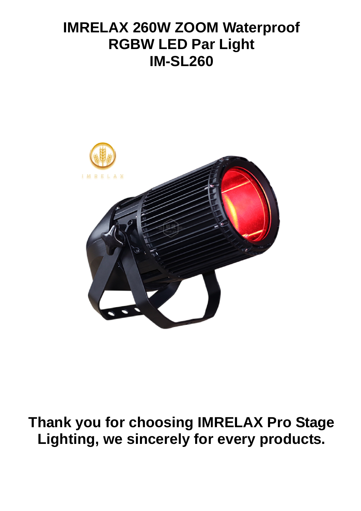## **IMRELAX 260W ZOOM Waterproof RGBW LED Par Light IM-SL260**



# **Thank you for choosing IMRELAX Pro Stage Lighting, we sincerely for every products.**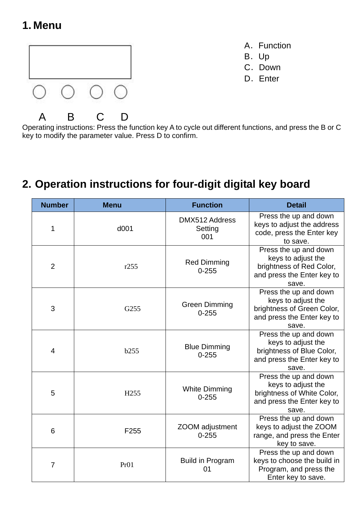### **1. Menu**



- A. Function
- B.Up
- C. Down
- D. Enter

Operating instructions: Press the function key A to cycle out different functions, and press the B or C key to modify the parameter value. Press D to confirm.

### **2. Operation instructions for four-digit digital key board**

| <b>Number</b>  | <b>Menu</b>      | <b>Function</b>                   | <b>Detail</b>                                                                                                    |
|----------------|------------------|-----------------------------------|------------------------------------------------------------------------------------------------------------------|
| 1              | d001             | DMX512 Address<br>Setting<br>001  | Press the up and down<br>keys to adjust the address<br>code, press the Enter key<br>to save.                     |
| $\overline{2}$ | r255             | <b>Red Dimming</b><br>$0 - 255$   | Press the up and down<br>keys to adjust the<br>brightness of Red Color,<br>and press the Enter key to<br>save.   |
| 3              | G255             | <b>Green Dimming</b><br>$0 - 255$ | Press the up and down<br>keys to adjust the<br>brightness of Green Color,<br>and press the Enter key to<br>save. |
| $\overline{4}$ | b255             | <b>Blue Dimming</b><br>$0 - 255$  | Press the up and down<br>keys to adjust the<br>brightness of Blue Color,<br>and press the Enter key to<br>save.  |
| 5              | H <sub>255</sub> | <b>White Dimming</b><br>$0 - 255$ | Press the up and down<br>keys to adjust the<br>brightness of White Color,<br>and press the Enter key to<br>save. |
| 6              | F <sub>255</sub> | ZOOM adjustment<br>$0 - 255$      | Press the up and down<br>keys to adjust the ZOOM<br>range, and press the Enter<br>key to save.                   |
| 7              | Pr <sub>01</sub> | <b>Build in Program</b><br>01     | Press the up and down<br>keys to choose the build in<br>Program, and press the<br>Enter key to save.             |